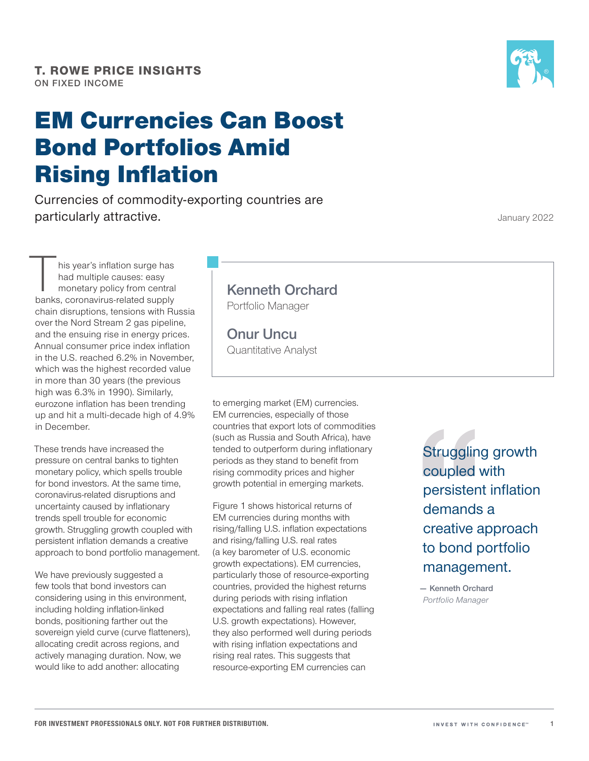# EM Currencies Can Boost Bond Portfolios Amid Rising Inflation

Currencies of commodity‑exporting countries are particularly attractive.

his year's inflation surge has had multiple causes: easy monetary policy from central banks, coronavirus‑related supply chain disruptions, tensions with Russia over the Nord Stream 2 gas pipeline, and the ensuing rise in energy prices. Annual consumer price index inflation in the U.S. reached 6.2% in November, which was the highest recorded value in more than 30 years (the previous high was 6.3% in 1990). Similarly, eurozone inflation has been trending up and hit a multi‑decade high of 4.9% in December.

These trends have increased the pressure on central banks to tighten monetary policy, which spells trouble for bond investors. At the same time, coronavirus‑related disruptions and uncertainty caused by inflationary trends spell trouble for economic growth. Struggling growth coupled with persistent inflation demands a creative approach to bond portfolio management.

We have previously suggested a few tools that bond investors can considering using in this environment, including holding inflation-linked bonds, positioning farther out the sovereign yield curve (curve flatteners), allocating credit across regions, and actively managing duration. Now, we would like to add another: allocating

## **Kenneth Orchard**

Portfolio Manager

**Onur Uncu** Quantitative Analyst

to emerging market (EM) currencies. EM currencies, especially of those countries that export lots of commodities (such as Russia and South Africa), have tended to outperform during inflationary periods as they stand to benefit from rising commodity prices and higher growth potential in emerging markets.

Figure 1 shows historical returns of EM currencies during months with rising/falling U.S. inflation expectations and rising/falling U.S. real rates (a key barometer of U.S. economic growth expectations). EM currencies, particularly those of resource‑exporting countries, provided the highest returns during periods with rising inflation expectations and falling real rates (falling U.S. growth expectations). However, they also performed well during periods with rising inflation expectations and rising real rates. This suggests that resource‑exporting EM currencies can

Struggling growth coupled with persistent inflation demands a creative approach to bond portfolio management.

**— Kenneth Orchard** *Portfolio Manager*

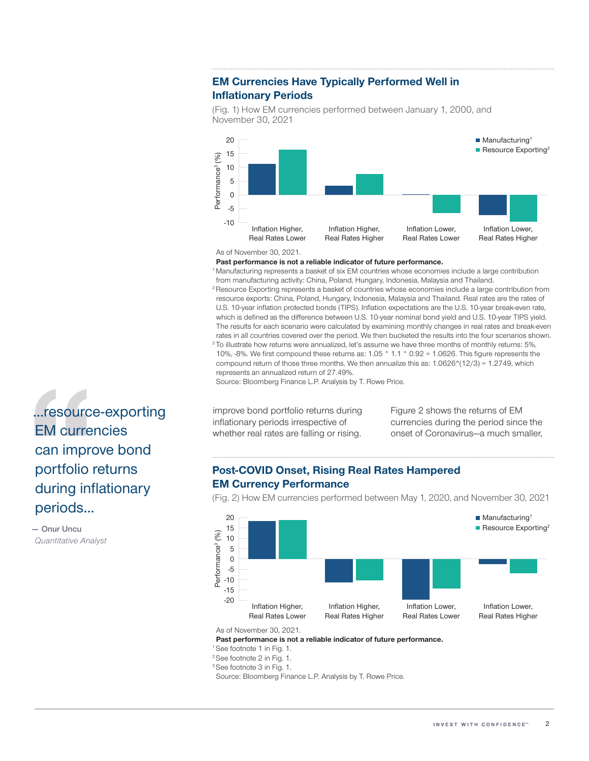## **EM Currencies Have Typically Performed Well in Inflationary Periods**

(Fig. 1) How EM currencies performed between January 1, 2000, and November 30, 2021



#### As of November 30, 2021.

#### **Past performance is not a reliable indicator of future performance.**

1 Manufacturing represents a basket of six EM countries whose economies include a large contribution from manufacturing activity: China, Poland, Hungary, Indonesia, Malaysia and Thailand.

<sup>2</sup> Resource Exporting represents a basket of countries whose economies include a large contribution from resource exports: China, Poland, Hungary, Indonesia, Malaysia and Thailand. Real rates are the rates of U.S. 10-year inflation protected bonds (TIPS). Inflation expectations are the U.S. 10-year break-even rate, which is defined as the difference between U.S. 10‑year nominal bond yield and U.S. 10‑year TIPS yield. The results for each scenario were calculated by examining monthly changes in real rates and break-even rates in all countries covered over the period. We then bucketed the results into the four scenarios shown.

<sup>3</sup> To illustrate how returns were annualized, let's assume we have three months of monthly returns: 5%, 10%, ‑8%. We first compound these returns as: 1.05 \* 1.1 \* 0.92 = 1.0626. This figure represents the compound return of those three months. We then annualize this as:  $1.0626^{\circ}(12/3) = 1.2749$ , which represents an annualized return of 27.49%.

Source: Bloomberg Finance L.P. Analysis by T. Rowe Price.

improve bond portfolio returns during inflationary periods irrespective of whether real rates are falling or rising.

Figure 2 shows the returns of EM currencies during the period since the onset of Coronavirus—a much smaller,

## **Post‑COVID Onset, Rising Real Rates Hampered EM Currency Performance**

(Fig. 2) How EM currencies performed between May 1, 2020, and November 30, 2021



As of November 30, 2021.

**Past performance is not a reliable indicator of future performance.**

1 See footnote 1 in Fig. 1.

2 See footnote 2 in Fig. 1.

3 See footnote 3 in Fig. 1.

Source: Bloomberg Finance L.P. Analysis by T. Rowe Price.

...resource‑exporting EM currencies can improve bond portfolio returns during inflationary periods...

**— Onur Uncu** *Quantitative Analyst*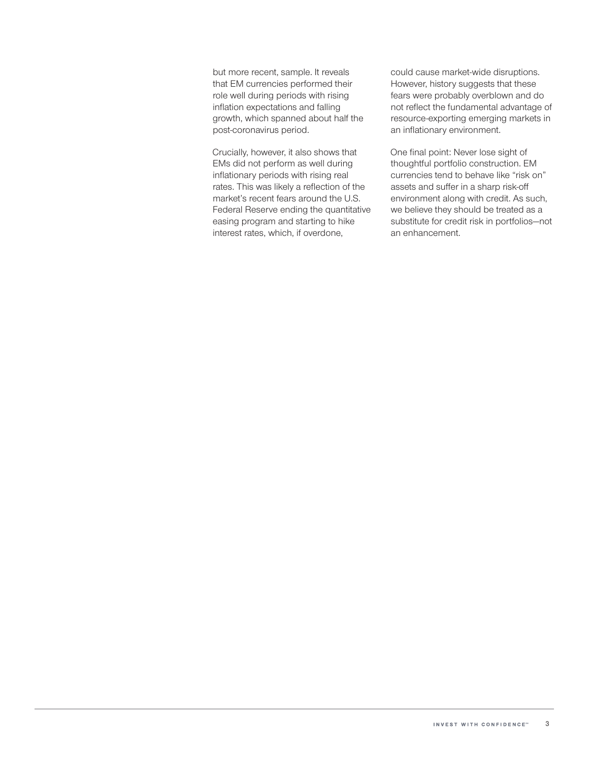but more recent, sample. It reveals that EM currencies performed their role well during periods with rising inflation expectations and falling growth, which spanned about half the post‑coronavirus period.

Crucially, however, it also shows that EMs did not perform as well during inflationary periods with rising real rates. This was likely a reflection of the market's recent fears around the U.S. Federal Reserve ending the quantitative easing program and starting to hike interest rates, which, if overdone,

could cause market‑wide disruptions. However, history suggests that these fears were probably overblown and do not reflect the fundamental advantage of resource‑exporting emerging markets in an inflationary environment.

One final point: Never lose sight of thoughtful portfolio construction. EM currencies tend to behave like "risk on" assets and suffer in a sharp risk‑off environment along with credit. As such, we believe they should be treated as a substitute for credit risk in portfolios—not an enhancement.